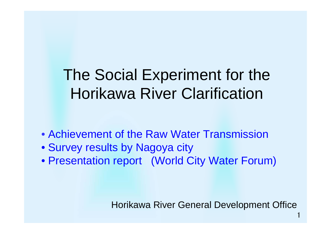# The Social Experiment for the Horikawa River Clarification

- Achievement of the Raw Water Transmission
- Survey results by Nagoya city
- Presentation report (World City Water Forum)

Horikawa River General Development Office

1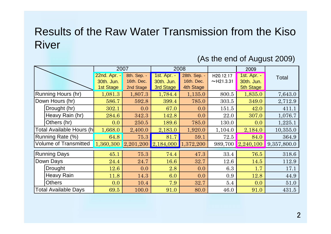### Results of the Raw Water Transmission from the Kiso River

#### (As the end of August 2009)

|                              |                   | 2007                    |             | 2008        |              |           | 2009             |             |
|------------------------------|-------------------|-------------------------|-------------|-------------|--------------|-----------|------------------|-------------|
|                              |                   | 22nd. Apr. -            | 8th. Sep. - | 1st. Apr. - | 28th. Sep. - | H20.12.17 | 1st. Apr. -      | Total       |
|                              |                   | 30th. Jun.              | 16th. Dec.  | 30th. Jun.  | 16th. Dec.   | ~121.3.31 | 30th. Jun.       |             |
|                              |                   | 1st Stage               | 2nd Stage   | 3rd Stage   | 4th Stage    |           | <b>5th Stage</b> |             |
| Running Hours (hr)           |                   | 1,081.3                 | 1,807.3     | 1,784.4     | 1,135.0      | 800.5     | 1,835.0          | 7,643.0     |
| Down Hours (hr)              |                   | 586.7                   | 592.8       | 399.4       | 785.0        | 303.5     | 349.0            | 2,712.9     |
|                              | Drought (hr)      | 302.1                   | 0.0         | 67.0        | 0.0          | 151.5     | 42.0             | 411.1       |
|                              | Heavy Rain (hr)   | 284.6                   | 342.3       | 142.8       | 0.0          | 22.0      | 307.0            | 1,076.7     |
|                              | Others (hr)       | 0.0                     | 250.5       | 189.6       | 785.0        | 130.0     | 0.0              | 1,225.1     |
| Total Available Hours (h     |                   | 1,668.0                 | 2,400.0     | 2,183.0     | 1,920.0      | 1,104.0   | 2,184.0          | 10,355.0    |
| Running Rate (%)             |                   | 64.8                    | 75.3        | 81.7        | 59.1         | 72.5      | 84.0             | 364.9       |
| <b>Volume of Transmitted</b> |                   | $1,360,300$ $2,201,200$ |             | 2,184,000   | 1,372,200    | 989,700   | 2,240,100        | 9,357,800.0 |
| <b>Running Days</b>          |                   | 45.1                    | 75.3        | 74.4        | 47.3         | 33.4      | 76.5             | 318.6       |
| Down Days                    |                   | 24.4                    | 24.7        | 16.6        | 32.7         | 12.6      | 14.5             | 112.9       |
|                              | <b>Drought</b>    | 12.6                    | 0.0         | 2.8         | 0.0          | 6.3       | 1.7              | 17.1        |
|                              | <b>Heavy Rain</b> | 11.8                    | 14.3        | 6.0         | 0.0          | 0.9       | 12.8             | 44.9        |
|                              | <b>Others</b>     | 0.0                     | 10.4        | 7.9         | 32.7         | 5.4       | 0.0              | 51.0        |
| Total Available Days         |                   | 69.5                    | 100.0       | 91.0        | 80.0         | 46.0      | 91.0             | 431.5       |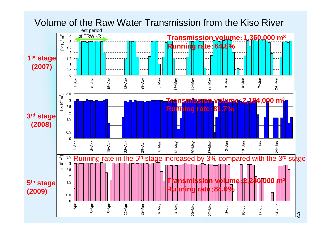#### Volume of the Raw Water Transmission from the Kiso River

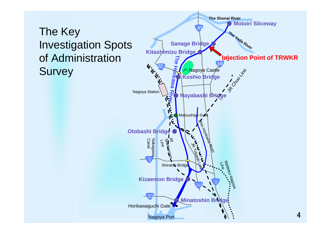## The Key Investigation Spots of Administration **Survey**

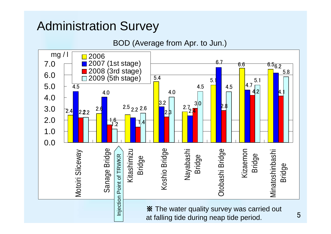BOD (Average from Apr. to Jun.)

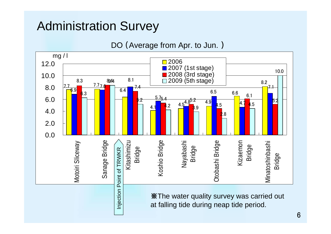DO (Average from Apr. to Jun. )

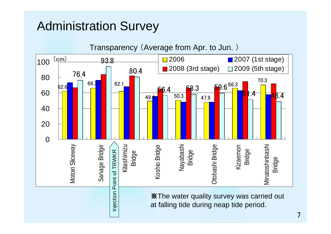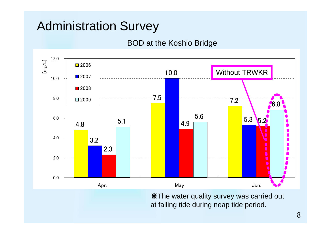#### BOD at the Koshio Bridge



※The water quality survey was carried out at falling tide during neap tide period.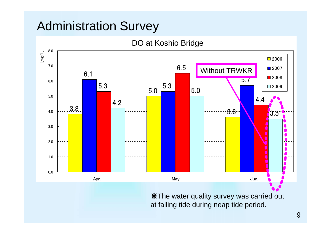DO at Koshio Bridge



※The water quality survey was carried out at falling tide during neap tide period.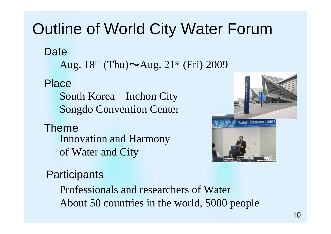# Outline of World City Water Forum

**Date** 

Aug.  $18^{\text{th}}$  (Thu) $\sim$ Aug.  $21^{\text{st}}$  (Fri) 2009

### Place

South Korea Inchon City Songdo Convention Center

### ThemeInnovation and Harmony of Water and City



### **Participants**

Professionals and researchers of WaterAbout 50 countries in the world, 5000 people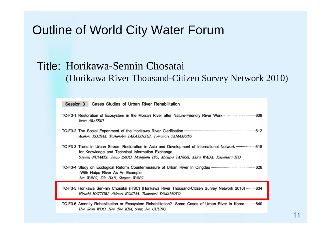## Outline of World City Water Forum

Hyo Seop WOO, Han Tae KIM, Sang Jun CHUNG

#### Title: Horikawa-Sennin Chosatai (Horikawa River Thousand-Citizen Survey Network 2010)

| Session 3<br>Cases Studies of Urban River Rehabilitation                                                                                                                                                                                                |  |  |  |  |  |
|---------------------------------------------------------------------------------------------------------------------------------------------------------------------------------------------------------------------------------------------------------|--|--|--|--|--|
| TC-F3-1 Restoration of Ecosystem in the Moizari River after Nature-Friendly River Work  606<br>Iwao ARASEKI                                                                                                                                             |  |  |  |  |  |
| Akinori KOJIMA, Toshinobu TAKAYANAGI, Tomonori YAMAMOTO                                                                                                                                                                                                 |  |  |  |  |  |
| 188 TC-F3-3 Trend in Urban Stream Restoration in Asia and Development of International Network www.www.erioung<br>for Knowledge and Technical Information Exchange<br>Sayumi NUMATA, Junzo SAGO, Masafumi ITO, Michiya TANNAI, Akira WADA, Kazumasa ITO |  |  |  |  |  |
| -With Haipo River As An Example<br>Jun WANG, Zile HAN, Shuyan WANG                                                                                                                                                                                      |  |  |  |  |  |
| TC-F3-5 Horikawa Sen-nin Chosatai (HSC) (Horikawa River Thousand-Citizen Survey Network 2010)  634<br>Hiroshi HATTORI, Akinori KOJIMA, Tomonori YAMAMOTO                                                                                                |  |  |  |  |  |
| 10-F3-6 Amenity Rehabilitation or Ecosystem Rehabilitation? - Some Cases of Urban River in Korea  640                                                                                                                                                   |  |  |  |  |  |